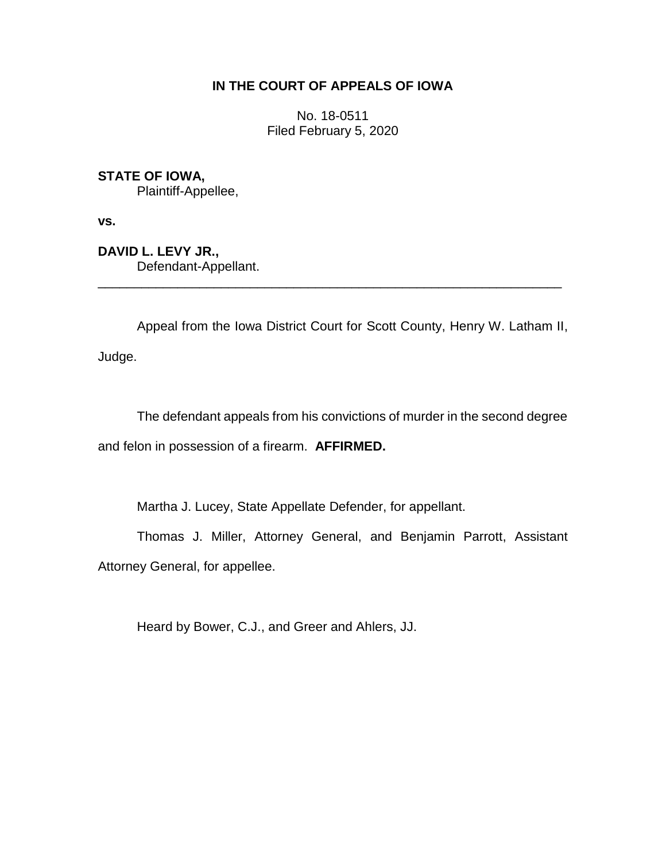# **IN THE COURT OF APPEALS OF IOWA**

No. 18-0511 Filed February 5, 2020

**STATE OF IOWA,**

Plaintiff-Appellee,

**vs.**

**DAVID L. LEVY JR.,** Defendant-Appellant.

Appeal from the Iowa District Court for Scott County, Henry W. Latham II, Judge.

\_\_\_\_\_\_\_\_\_\_\_\_\_\_\_\_\_\_\_\_\_\_\_\_\_\_\_\_\_\_\_\_\_\_\_\_\_\_\_\_\_\_\_\_\_\_\_\_\_\_\_\_\_\_\_\_\_\_\_\_\_\_\_\_

The defendant appeals from his convictions of murder in the second degree and felon in possession of a firearm. **AFFIRMED.**

Martha J. Lucey, State Appellate Defender, for appellant.

Thomas J. Miller, Attorney General, and Benjamin Parrott, Assistant Attorney General, for appellee.

Heard by Bower, C.J., and Greer and Ahlers, JJ.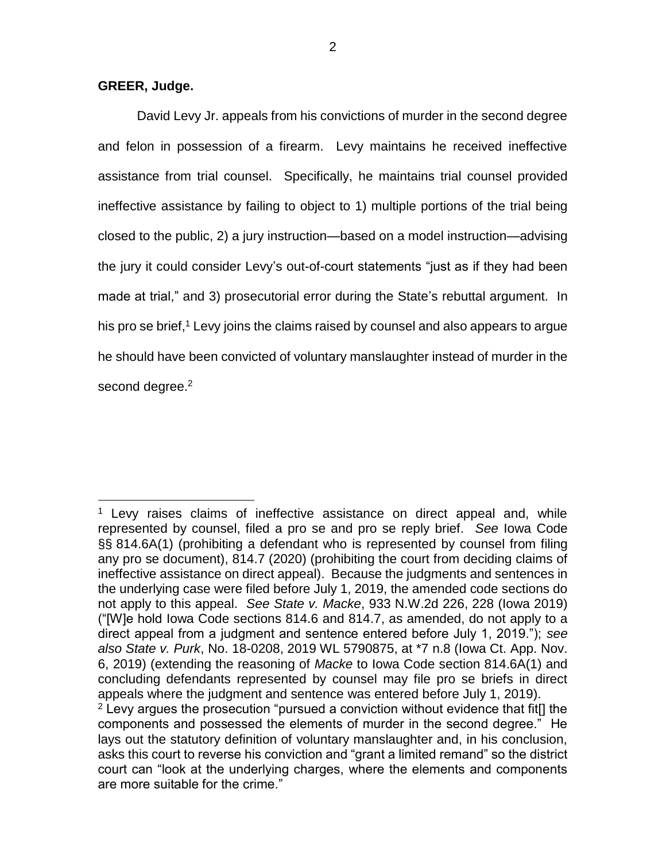## **GREER, Judge.**

 $\overline{a}$ 

David Levy Jr. appeals from his convictions of murder in the second degree and felon in possession of a firearm. Levy maintains he received ineffective assistance from trial counsel. Specifically, he maintains trial counsel provided ineffective assistance by failing to object to 1) multiple portions of the trial being closed to the public, 2) a jury instruction—based on a model instruction—advising the jury it could consider Levy's out-of-court statements "just as if they had been made at trial," and 3) prosecutorial error during the State's rebuttal argument. In his pro se brief,<sup>1</sup> Levy joins the claims raised by counsel and also appears to argue he should have been convicted of voluntary manslaughter instead of murder in the second degree.<sup>2</sup>

 $1$  Levy raises claims of ineffective assistance on direct appeal and, while represented by counsel, filed a pro se and pro se reply brief. *See* Iowa Code §§ 814.6A(1) (prohibiting a defendant who is represented by counsel from filing any pro se document), 814.7 (2020) (prohibiting the court from deciding claims of ineffective assistance on direct appeal). Because the judgments and sentences in the underlying case were filed before July 1, 2019, the amended code sections do not apply to this appeal. *See State v. Macke*, 933 N.W.2d 226, 228 (Iowa 2019) ("[W]e hold Iowa Code sections 814.6 and 814.7, as amended, do not apply to a direct appeal from a judgment and sentence entered before July 1, 2019."); *see also State v. Purk*, No. 18-0208, 2019 WL 5790875, at \*7 n.8 (Iowa Ct. App. Nov. 6, 2019) (extending the reasoning of *Macke* to Iowa Code section 814.6A(1) and concluding defendants represented by counsel may file pro se briefs in direct appeals where the judgment and sentence was entered before July 1, 2019).

 $2$  Levy argues the prosecution "pursued a conviction without evidence that fit<sup>[]</sup> the components and possessed the elements of murder in the second degree." He lays out the statutory definition of voluntary manslaughter and, in his conclusion, asks this court to reverse his conviction and "grant a limited remand" so the district court can "look at the underlying charges, where the elements and components are more suitable for the crime."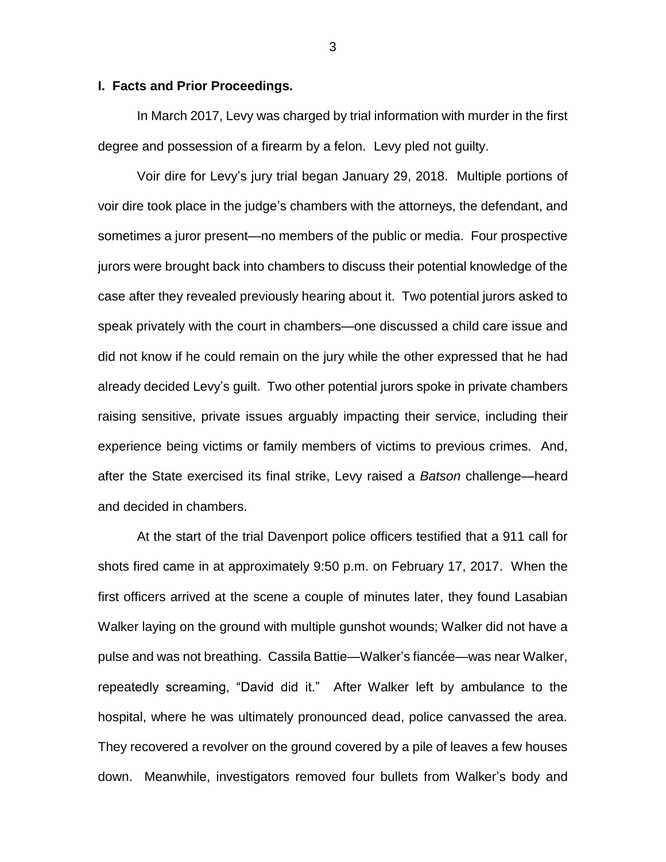#### **I. Facts and Prior Proceedings.**

In March 2017, Levy was charged by trial information with murder in the first degree and possession of a firearm by a felon. Levy pled not guilty.

Voir dire for Levy's jury trial began January 29, 2018. Multiple portions of voir dire took place in the judge's chambers with the attorneys, the defendant, and sometimes a juror present—no members of the public or media. Four prospective jurors were brought back into chambers to discuss their potential knowledge of the case after they revealed previously hearing about it. Two potential jurors asked to speak privately with the court in chambers—one discussed a child care issue and did not know if he could remain on the jury while the other expressed that he had already decided Levy's guilt. Two other potential jurors spoke in private chambers raising sensitive, private issues arguably impacting their service, including their experience being victims or family members of victims to previous crimes. And, after the State exercised its final strike, Levy raised a *Batson* challenge—heard and decided in chambers.

At the start of the trial Davenport police officers testified that a 911 call for shots fired came in at approximately 9:50 p.m. on February 17, 2017. When the first officers arrived at the scene a couple of minutes later, they found Lasabian Walker laying on the ground with multiple gunshot wounds; Walker did not have a pulse and was not breathing. Cassila Battie—Walker's fiancée—was near Walker, repeatedly screaming, "David did it." After Walker left by ambulance to the hospital, where he was ultimately pronounced dead, police canvassed the area. They recovered a revolver on the ground covered by a pile of leaves a few houses down. Meanwhile, investigators removed four bullets from Walker's body and

3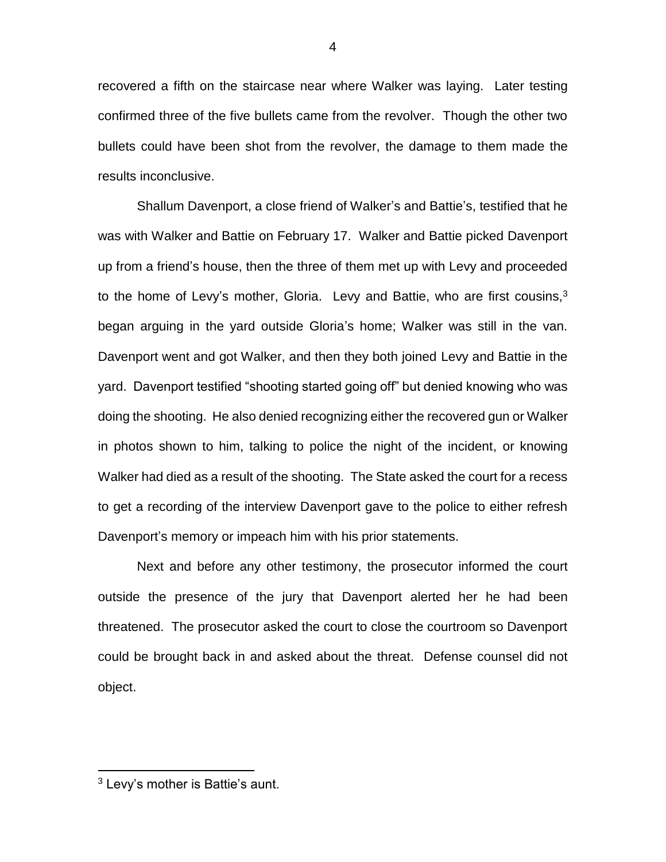recovered a fifth on the staircase near where Walker was laying. Later testing confirmed three of the five bullets came from the revolver. Though the other two bullets could have been shot from the revolver, the damage to them made the results inconclusive.

Shallum Davenport, a close friend of Walker's and Battie's, testified that he was with Walker and Battie on February 17. Walker and Battie picked Davenport up from a friend's house, then the three of them met up with Levy and proceeded to the home of Levy's mother, Gloria. Levy and Battie, who are first cousins,  $3$ began arguing in the yard outside Gloria's home; Walker was still in the van. Davenport went and got Walker, and then they both joined Levy and Battie in the yard. Davenport testified "shooting started going off" but denied knowing who was doing the shooting. He also denied recognizing either the recovered gun or Walker in photos shown to him, talking to police the night of the incident, or knowing Walker had died as a result of the shooting. The State asked the court for a recess to get a recording of the interview Davenport gave to the police to either refresh Davenport's memory or impeach him with his prior statements.

Next and before any other testimony, the prosecutor informed the court outside the presence of the jury that Davenport alerted her he had been threatened. The prosecutor asked the court to close the courtroom so Davenport could be brought back in and asked about the threat. Defense counsel did not object.

 $\overline{a}$ 

<sup>3</sup> Levy's mother is Battie's aunt.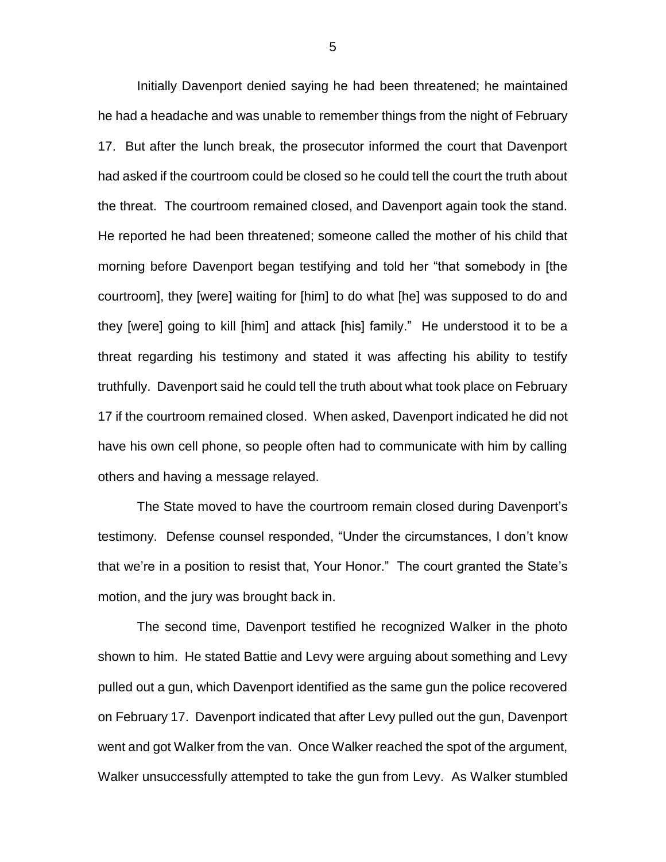Initially Davenport denied saying he had been threatened; he maintained he had a headache and was unable to remember things from the night of February 17. But after the lunch break, the prosecutor informed the court that Davenport had asked if the courtroom could be closed so he could tell the court the truth about the threat. The courtroom remained closed, and Davenport again took the stand. He reported he had been threatened; someone called the mother of his child that morning before Davenport began testifying and told her "that somebody in [the courtroom], they [were] waiting for [him] to do what [he] was supposed to do and they [were] going to kill [him] and attack [his] family." He understood it to be a threat regarding his testimony and stated it was affecting his ability to testify truthfully. Davenport said he could tell the truth about what took place on February 17 if the courtroom remained closed. When asked, Davenport indicated he did not have his own cell phone, so people often had to communicate with him by calling others and having a message relayed.

The State moved to have the courtroom remain closed during Davenport's testimony. Defense counsel responded, "Under the circumstances, I don't know that we're in a position to resist that, Your Honor." The court granted the State's motion, and the jury was brought back in.

The second time, Davenport testified he recognized Walker in the photo shown to him. He stated Battie and Levy were arguing about something and Levy pulled out a gun, which Davenport identified as the same gun the police recovered on February 17. Davenport indicated that after Levy pulled out the gun, Davenport went and got Walker from the van. Once Walker reached the spot of the argument, Walker unsuccessfully attempted to take the gun from Levy. As Walker stumbled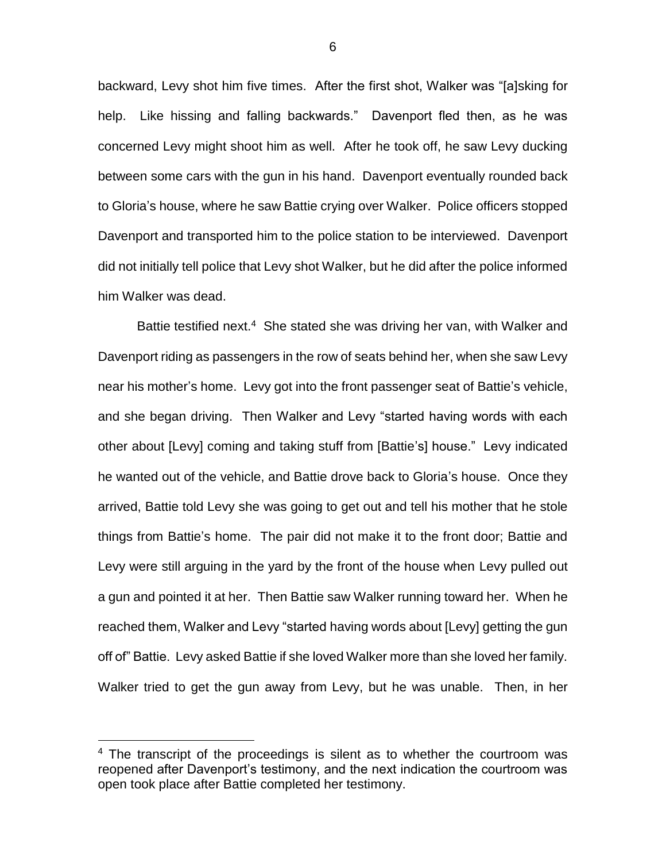backward, Levy shot him five times. After the first shot, Walker was "[a]sking for help. Like hissing and falling backwards." Davenport fled then, as he was concerned Levy might shoot him as well. After he took off, he saw Levy ducking between some cars with the gun in his hand. Davenport eventually rounded back to Gloria's house, where he saw Battie crying over Walker. Police officers stopped Davenport and transported him to the police station to be interviewed. Davenport did not initially tell police that Levy shot Walker, but he did after the police informed him Walker was dead.

Battie testified next.<sup>4</sup> She stated she was driving her van, with Walker and Davenport riding as passengers in the row of seats behind her, when she saw Levy near his mother's home. Levy got into the front passenger seat of Battie's vehicle, and she began driving. Then Walker and Levy "started having words with each other about [Levy] coming and taking stuff from [Battie's] house." Levy indicated he wanted out of the vehicle, and Battie drove back to Gloria's house. Once they arrived, Battie told Levy she was going to get out and tell his mother that he stole things from Battie's home. The pair did not make it to the front door; Battie and Levy were still arguing in the yard by the front of the house when Levy pulled out a gun and pointed it at her. Then Battie saw Walker running toward her. When he reached them, Walker and Levy "started having words about [Levy] getting the gun off of" Battie. Levy asked Battie if she loved Walker more than she loved her family. Walker tried to get the gun away from Levy, but he was unable. Then, in her

 $\overline{a}$ 

6

<sup>&</sup>lt;sup>4</sup> The transcript of the proceedings is silent as to whether the courtroom was reopened after Davenport's testimony, and the next indication the courtroom was open took place after Battie completed her testimony.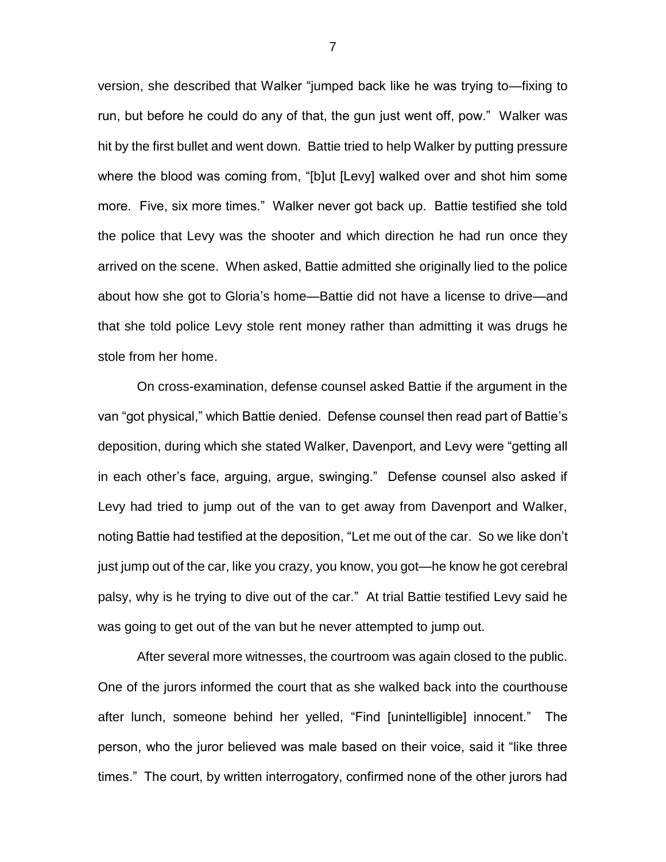version, she described that Walker "jumped back like he was trying to—fixing to run, but before he could do any of that, the gun just went off, pow." Walker was hit by the first bullet and went down. Battie tried to help Walker by putting pressure where the blood was coming from, "[b]ut [Levy] walked over and shot him some more. Five, six more times." Walker never got back up. Battie testified she told the police that Levy was the shooter and which direction he had run once they arrived on the scene. When asked, Battie admitted she originally lied to the police about how she got to Gloria's home—Battie did not have a license to drive—and that she told police Levy stole rent money rather than admitting it was drugs he stole from her home.

On cross-examination, defense counsel asked Battie if the argument in the van "got physical," which Battie denied. Defense counsel then read part of Battie's deposition, during which she stated Walker, Davenport, and Levy were "getting all in each other's face, arguing, argue, swinging." Defense counsel also asked if Levy had tried to jump out of the van to get away from Davenport and Walker, noting Battie had testified at the deposition, "Let me out of the car. So we like don't just jump out of the car, like you crazy, you know, you got—he know he got cerebral palsy, why is he trying to dive out of the car." At trial Battie testified Levy said he was going to get out of the van but he never attempted to jump out.

After several more witnesses, the courtroom was again closed to the public. One of the jurors informed the court that as she walked back into the courthouse after lunch, someone behind her yelled, "Find [unintelligible] innocent." The person, who the juror believed was male based on their voice, said it "like three times." The court, by written interrogatory, confirmed none of the other jurors had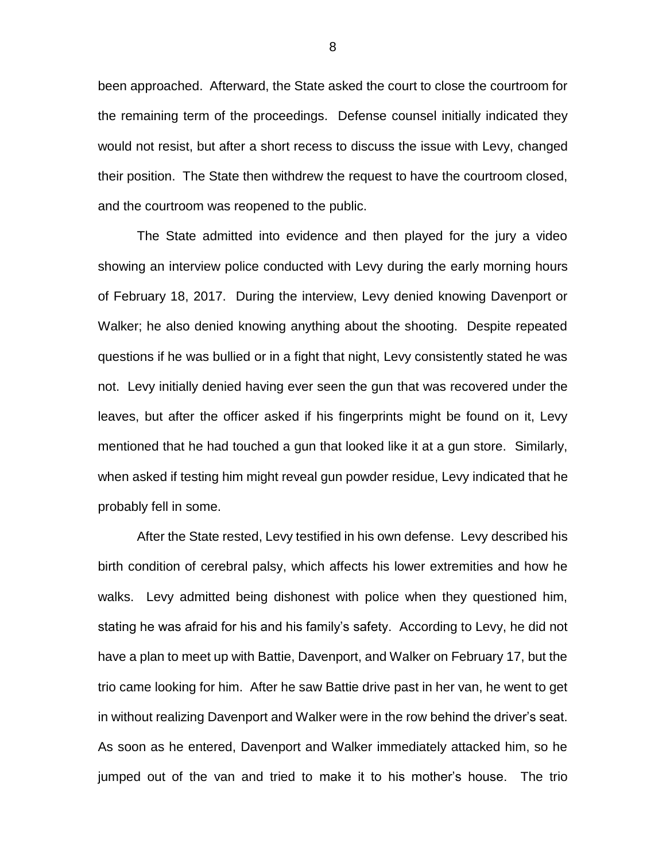been approached. Afterward, the State asked the court to close the courtroom for the remaining term of the proceedings. Defense counsel initially indicated they would not resist, but after a short recess to discuss the issue with Levy, changed their position. The State then withdrew the request to have the courtroom closed, and the courtroom was reopened to the public.

The State admitted into evidence and then played for the jury a video showing an interview police conducted with Levy during the early morning hours of February 18, 2017. During the interview, Levy denied knowing Davenport or Walker; he also denied knowing anything about the shooting. Despite repeated questions if he was bullied or in a fight that night, Levy consistently stated he was not. Levy initially denied having ever seen the gun that was recovered under the leaves, but after the officer asked if his fingerprints might be found on it, Levy mentioned that he had touched a gun that looked like it at a gun store. Similarly, when asked if testing him might reveal gun powder residue, Levy indicated that he probably fell in some.

After the State rested, Levy testified in his own defense. Levy described his birth condition of cerebral palsy, which affects his lower extremities and how he walks. Levy admitted being dishonest with police when they questioned him, stating he was afraid for his and his family's safety. According to Levy, he did not have a plan to meet up with Battie, Davenport, and Walker on February 17, but the trio came looking for him. After he saw Battie drive past in her van, he went to get in without realizing Davenport and Walker were in the row behind the driver's seat. As soon as he entered, Davenport and Walker immediately attacked him, so he jumped out of the van and tried to make it to his mother's house. The trio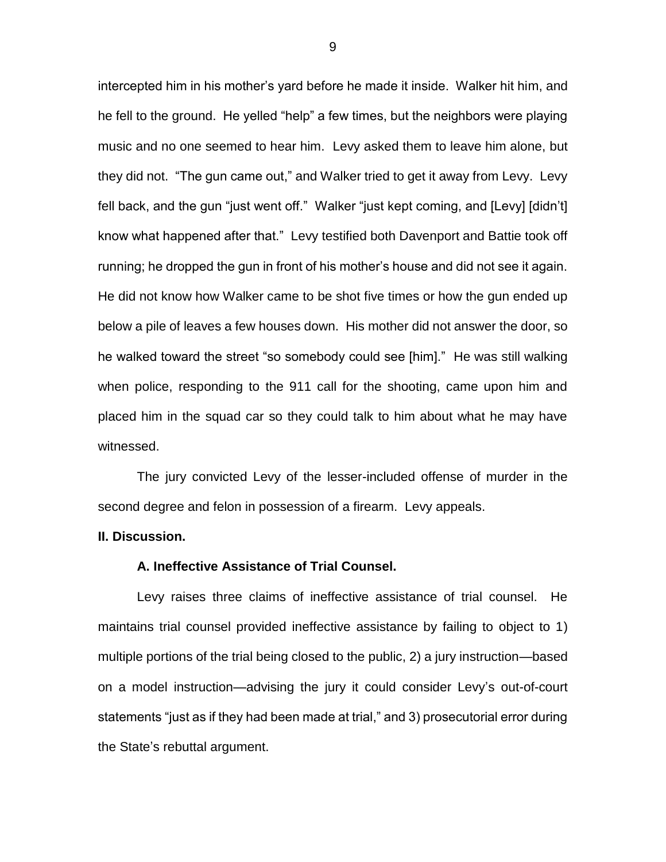intercepted him in his mother's yard before he made it inside. Walker hit him, and he fell to the ground. He yelled "help" a few times, but the neighbors were playing music and no one seemed to hear him. Levy asked them to leave him alone, but they did not. "The gun came out," and Walker tried to get it away from Levy. Levy fell back, and the gun "just went off." Walker "just kept coming, and [Levy] [didn't] know what happened after that." Levy testified both Davenport and Battie took off running; he dropped the gun in front of his mother's house and did not see it again. He did not know how Walker came to be shot five times or how the gun ended up below a pile of leaves a few houses down. His mother did not answer the door, so he walked toward the street "so somebody could see [him]." He was still walking when police, responding to the 911 call for the shooting, came upon him and placed him in the squad car so they could talk to him about what he may have witnessed.

The jury convicted Levy of the lesser-included offense of murder in the second degree and felon in possession of a firearm. Levy appeals.

### **II. Discussion.**

#### **A. Ineffective Assistance of Trial Counsel.**

Levy raises three claims of ineffective assistance of trial counsel. He maintains trial counsel provided ineffective assistance by failing to object to 1) multiple portions of the trial being closed to the public, 2) a jury instruction—based on a model instruction—advising the jury it could consider Levy's out-of-court statements "just as if they had been made at trial," and 3) prosecutorial error during the State's rebuttal argument.

9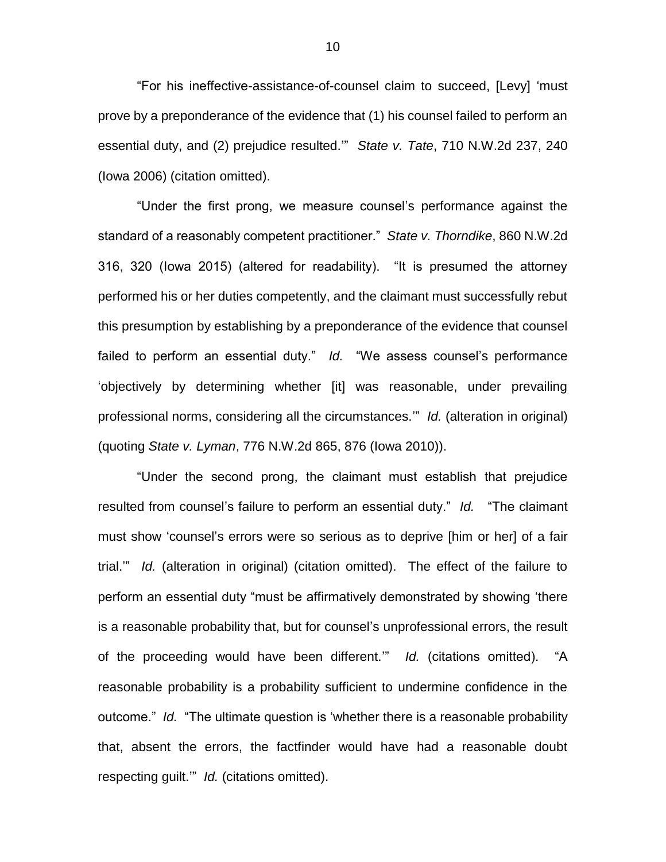"For his ineffective-assistance-of-counsel claim to succeed, [Levy] 'must prove by a preponderance of the evidence that (1) his counsel failed to perform an essential duty, and (2) prejudice resulted.'" *State v. Tate*, 710 N.W.2d 237, 240 (Iowa 2006) (citation omitted).

"Under the first prong, we measure counsel's performance against the standard of a reasonably competent practitioner." *State v. Thorndike*, 860 N.W.2d 316, 320 (Iowa 2015) (altered for readability). "It is presumed the attorney performed his or her duties competently, and the claimant must successfully rebut this presumption by establishing by a preponderance of the evidence that counsel failed to perform an essential duty." *Id.* "We assess counsel's performance 'objectively by determining whether [it] was reasonable, under prevailing professional norms, considering all the circumstances.'" *Id.* (alteration in original) (quoting *State v. Lyman*, 776 N.W.2d 865, 876 (Iowa 2010)).

"Under the second prong, the claimant must establish that prejudice resulted from counsel's failure to perform an essential duty." *Id.* "The claimant must show 'counsel's errors were so serious as to deprive [him or her] of a fair trial.'" *Id.* (alteration in original) (citation omitted). The effect of the failure to perform an essential duty "must be affirmatively demonstrated by showing 'there is a reasonable probability that, but for counsel's unprofessional errors, the result of the proceeding would have been different.'" *Id.* (citations omitted). "A reasonable probability is a probability sufficient to undermine confidence in the outcome." *Id.* "The ultimate question is 'whether there is a reasonable probability that, absent the errors, the factfinder would have had a reasonable doubt respecting guilt.'" *Id.* (citations omitted).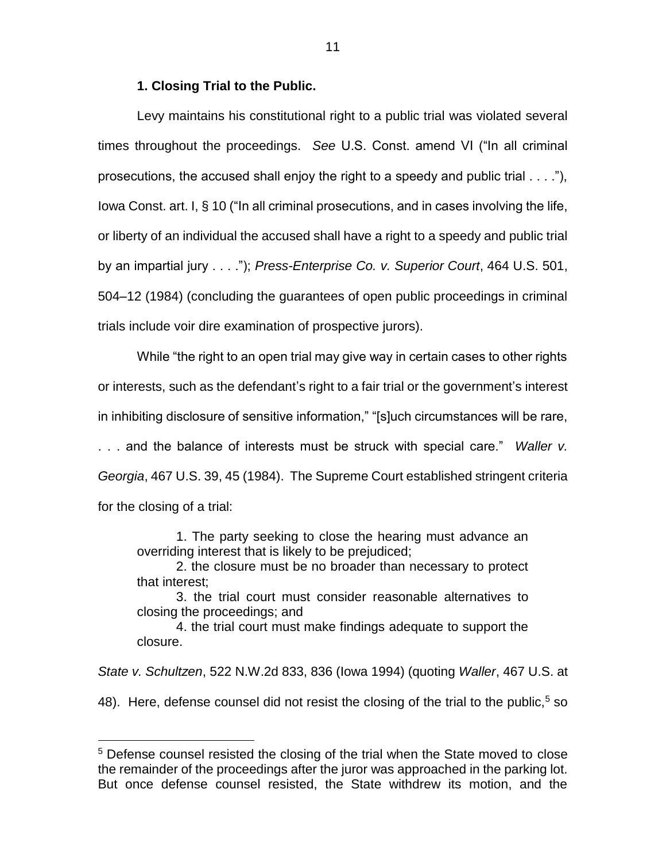### **1. Closing Trial to the Public.**

Levy maintains his constitutional right to a public trial was violated several times throughout the proceedings. *See* U.S. Const. amend VI ("In all criminal prosecutions, the accused shall enjoy the right to a speedy and public trial . . . ."), Iowa Const. art. I, § 10 ("In all criminal prosecutions, and in cases involving the life, or liberty of an individual the accused shall have a right to a speedy and public trial by an impartial jury . . . ."); *Press-Enterprise Co. v. Superior Court*, 464 U.S. 501, 504–12 (1984) (concluding the guarantees of open public proceedings in criminal trials include voir dire examination of prospective jurors).

While "the right to an open trial may give way in certain cases to other rights or interests, such as the defendant's right to a fair trial or the government's interest in inhibiting disclosure of sensitive information," "[s]uch circumstances will be rare, . . . and the balance of interests must be struck with special care." *Waller v. Georgia*, 467 U.S. 39, 45 (1984). The Supreme Court established stringent criteria

for the closing of a trial:

 $\overline{a}$ 

1. The party seeking to close the hearing must advance an overriding interest that is likely to be prejudiced;

2. the closure must be no broader than necessary to protect that interest;

3. the trial court must consider reasonable alternatives to closing the proceedings; and

4. the trial court must make findings adequate to support the closure.

*State v. Schultzen*, 522 N.W.2d 833, 836 (Iowa 1994) (quoting *Waller*, 467 U.S. at

48). Here, defense counsel did not resist the closing of the trial to the public,  $5$  so

<sup>&</sup>lt;sup>5</sup> Defense counsel resisted the closing of the trial when the State moved to close the remainder of the proceedings after the juror was approached in the parking lot. But once defense counsel resisted, the State withdrew its motion, and the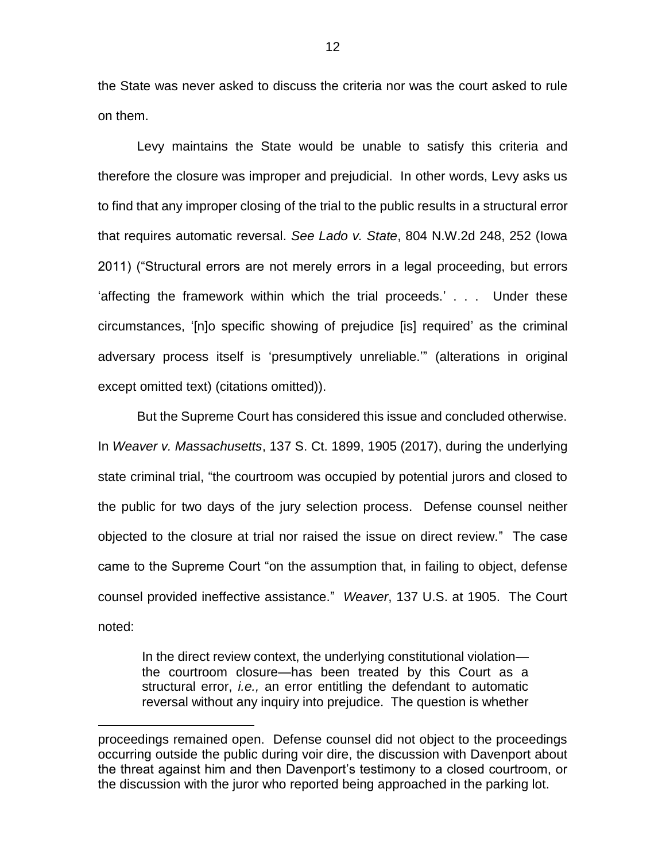the State was never asked to discuss the criteria nor was the court asked to rule on them.

Levy maintains the State would be unable to satisfy this criteria and therefore the closure was improper and prejudicial. In other words, Levy asks us to find that any improper closing of the trial to the public results in a structural error that requires automatic reversal. *See Lado v. State*, 804 N.W.2d 248, 252 (Iowa 2011) ("Structural errors are not merely errors in a legal proceeding, but errors 'affecting the framework within which the trial proceeds.' . . . Under these circumstances, '[n]o specific showing of prejudice [is] required' as the criminal adversary process itself is 'presumptively unreliable.'" (alterations in original except omitted text) (citations omitted)).

But the Supreme Court has considered this issue and concluded otherwise. In *Weaver v. Massachusetts*, 137 S. Ct. 1899, 1905 (2017), during the underlying state criminal trial, "the courtroom was occupied by potential jurors and closed to the public for two days of the jury selection process. Defense counsel neither objected to the closure at trial nor raised the issue on direct review." The case came to the Supreme Court "on the assumption that, in failing to object, defense counsel provided ineffective assistance." *Weaver*, 137 U.S. at 1905. The Court noted:

In the direct review context, the underlying constitutional violation the courtroom closure—has been treated by this Court as a structural error, *i.e.,* an error entitling the defendant to automatic reversal without any inquiry into prejudice. The question is whether

 $\overline{a}$ 

proceedings remained open. Defense counsel did not object to the proceedings occurring outside the public during voir dire, the discussion with Davenport about the threat against him and then Davenport's testimony to a closed courtroom, or the discussion with the juror who reported being approached in the parking lot.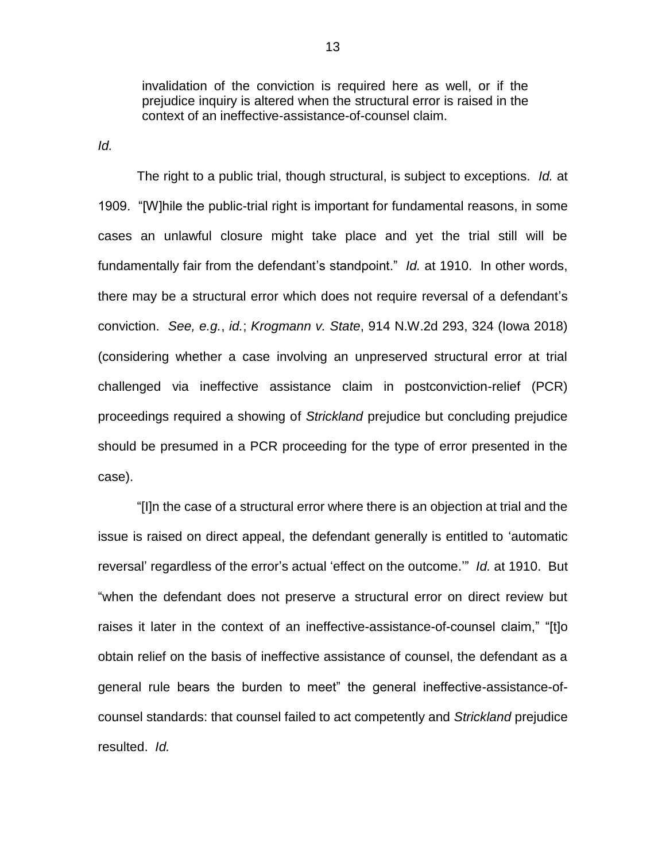invalidation of the conviction is required here as well, or if the prejudice inquiry is altered when the structural error is raised in the context of an ineffective-assistance-of-counsel claim.

*Id.* 

The right to a public trial, though structural, is subject to exceptions. *Id.* at 1909. "[W]hile the public-trial right is important for fundamental reasons, in some cases an unlawful closure might take place and yet the trial still will be fundamentally fair from the defendant's standpoint." *Id.* at 1910. In other words, there may be a structural error which does not require reversal of a defendant's conviction. *See, e.g.*, *id.*; *Krogmann v. State*, 914 N.W.2d 293, 324 (Iowa 2018) (considering whether a case involving an unpreserved structural error at trial challenged via ineffective assistance claim in postconviction-relief (PCR) proceedings required a showing of *Strickland* prejudice but concluding prejudice should be presumed in a PCR proceeding for the type of error presented in the case).

"[I]n the case of a structural error where there is an objection at trial and the issue is raised on direct appeal, the defendant generally is entitled to 'automatic reversal' regardless of the error's actual 'effect on the outcome.'" *Id.* at 1910. But "when the defendant does not preserve a structural error on direct review but raises it later in the context of an ineffective-assistance-of-counsel claim," "[t]o obtain relief on the basis of ineffective assistance of counsel, the defendant as a general rule bears the burden to meet" the general ineffective-assistance-ofcounsel standards: that counsel failed to act competently and *Strickland* prejudice resulted. *Id.*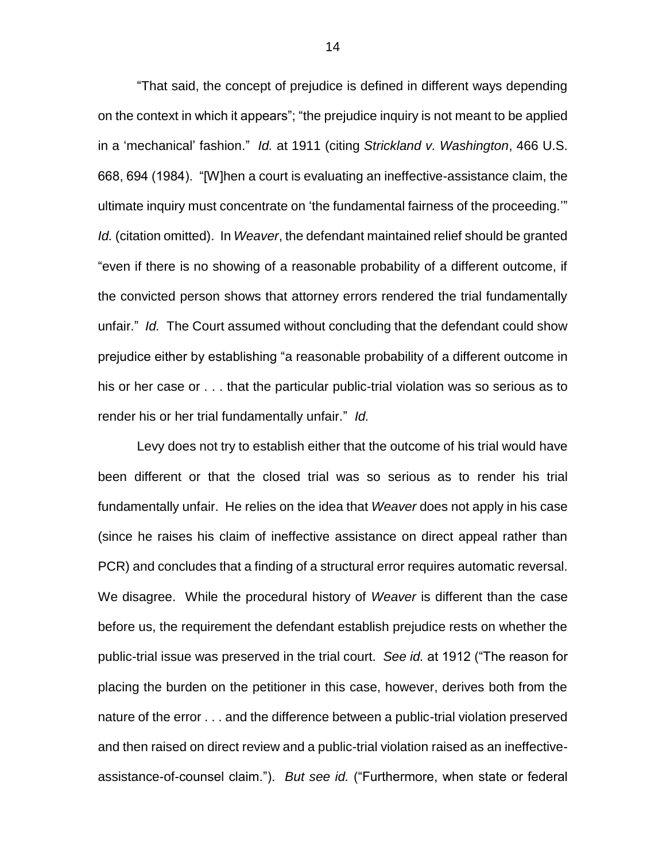"That said, the concept of prejudice is defined in different ways depending on the context in which it appears"; "the prejudice inquiry is not meant to be applied in a 'mechanical' fashion." *Id.* at 1911 (citing *Strickland v. Washington*, 466 U.S. 668, 694 (1984). "[W]hen a court is evaluating an ineffective-assistance claim, the ultimate inquiry must concentrate on 'the fundamental fairness of the proceeding.'" *Id.* (citation omitted). In *Weaver*, the defendant maintained relief should be granted "even if there is no showing of a reasonable probability of a different outcome, if the convicted person shows that attorney errors rendered the trial fundamentally unfair." *Id.* The Court assumed without concluding that the defendant could show prejudice either by establishing "a reasonable probability of a different outcome in his or her case or . . . that the particular public-trial violation was so serious as to render his or her trial fundamentally unfair." *Id.* 

Levy does not try to establish either that the outcome of his trial would have been different or that the closed trial was so serious as to render his trial fundamentally unfair. He relies on the idea that *Weaver* does not apply in his case (since he raises his claim of ineffective assistance on direct appeal rather than PCR) and concludes that a finding of a structural error requires automatic reversal. We disagree. While the procedural history of *Weaver* is different than the case before us, the requirement the defendant establish prejudice rests on whether the public-trial issue was preserved in the trial court. *See id.* at 1912 ("The reason for placing the burden on the petitioner in this case, however, derives both from the nature of the error . . . and the difference between a public-trial violation preserved and then raised on direct review and a public-trial violation raised as an ineffectiveassistance-of-counsel claim."). *But see id.* ("Furthermore, when state or federal

14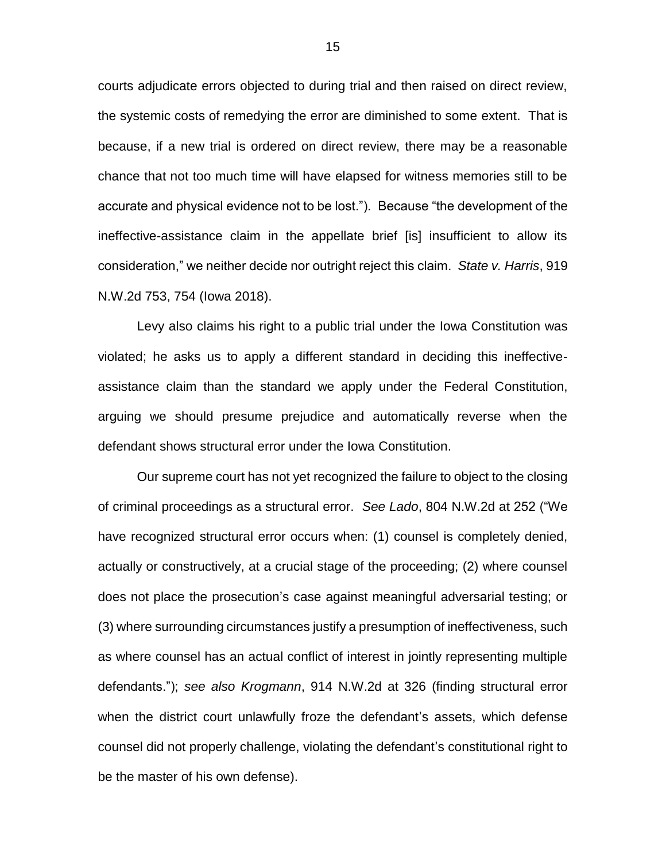courts adjudicate errors objected to during trial and then raised on direct review, the systemic costs of remedying the error are diminished to some extent. That is because, if a new trial is ordered on direct review, there may be a reasonable chance that not too much time will have elapsed for witness memories still to be accurate and physical evidence not to be lost."). Because "the development of the ineffective-assistance claim in the appellate brief [is] insufficient to allow its consideration," we neither decide nor outright reject this claim. *State v. Harris*, 919 N.W.2d 753, 754 (Iowa 2018).

Levy also claims his right to a public trial under the Iowa Constitution was violated; he asks us to apply a different standard in deciding this ineffectiveassistance claim than the standard we apply under the Federal Constitution, arguing we should presume prejudice and automatically reverse when the defendant shows structural error under the Iowa Constitution.

Our supreme court has not yet recognized the failure to object to the closing of criminal proceedings as a structural error. *See Lado*, 804 N.W.2d at 252 ("We have recognized structural error occurs when: (1) counsel is completely denied, actually or constructively, at a crucial stage of the proceeding; (2) where counsel does not place the prosecution's case against meaningful adversarial testing; or (3) where surrounding circumstances justify a presumption of ineffectiveness, such as where counsel has an actual conflict of interest in jointly representing multiple defendants."); *see also Krogmann*, 914 N.W.2d at 326 (finding structural error when the district court unlawfully froze the defendant's assets, which defense counsel did not properly challenge, violating the defendant's constitutional right to be the master of his own defense).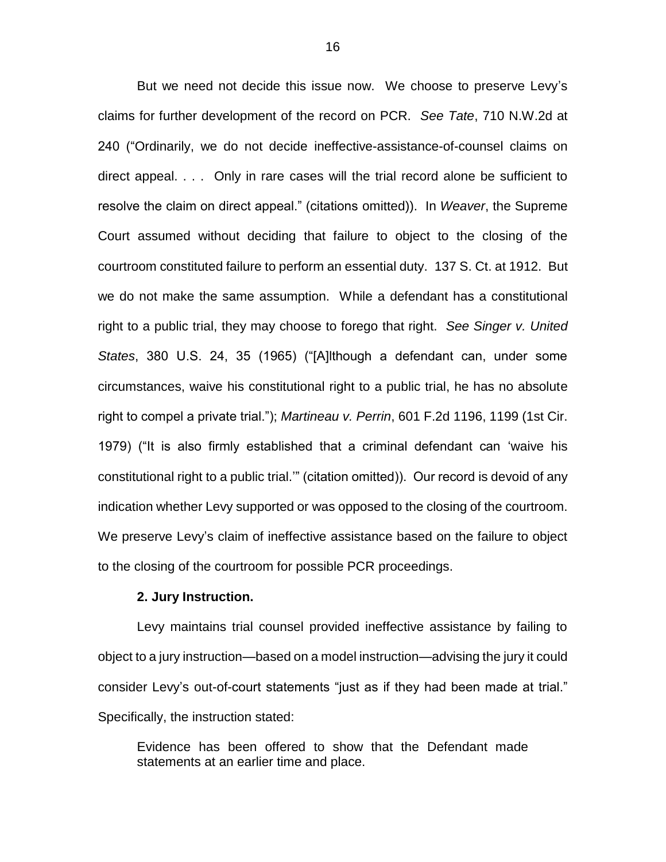But we need not decide this issue now. We choose to preserve Levy's claims for further development of the record on PCR. *See Tate*, 710 N.W.2d at 240 ("Ordinarily, we do not decide ineffective-assistance-of-counsel claims on direct appeal. . . .Only in rare cases will the trial record alone be sufficient to resolve the claim on direct appeal." (citations omitted)). In *Weaver*, the Supreme Court assumed without deciding that failure to object to the closing of the courtroom constituted failure to perform an essential duty. 137 S. Ct. at 1912. But we do not make the same assumption. While a defendant has a constitutional right to a public trial, they may choose to forego that right. *See Singer v. United States*, 380 U.S. 24, 35 (1965) ("[A]lthough a defendant can, under some circumstances, waive his constitutional right to a public trial, he has no absolute right to compel a private trial."); *Martineau v. Perrin*, 601 F.2d 1196, 1199 (1st Cir. 1979) ("It is also firmly established that a criminal defendant can 'waive his constitutional right to a public trial.'" (citation omitted)). Our record is devoid of any indication whether Levy supported or was opposed to the closing of the courtroom. We preserve Levy's claim of ineffective assistance based on the failure to object to the closing of the courtroom for possible PCR proceedings.

#### **2. Jury Instruction.**

Levy maintains trial counsel provided ineffective assistance by failing to object to a jury instruction—based on a model instruction—advising the jury it could consider Levy's out-of-court statements "just as if they had been made at trial." Specifically, the instruction stated:

Evidence has been offered to show that the Defendant made statements at an earlier time and place.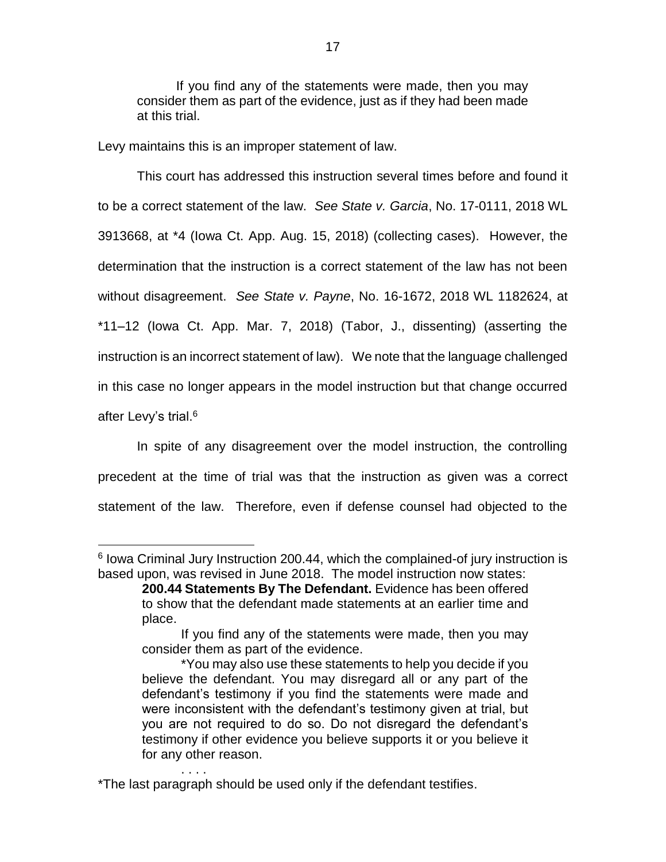If you find any of the statements were made, then you may consider them as part of the evidence, just as if they had been made at this trial.

Levy maintains this is an improper statement of law.

 $\overline{a}$ 

This court has addressed this instruction several times before and found it to be a correct statement of the law. *See State v. Garcia*, No. 17-0111, 2018 WL 3913668, at \*4 (Iowa Ct. App. Aug. 15, 2018) (collecting cases). However, the determination that the instruction is a correct statement of the law has not been without disagreement. *See State v. Payne*, No. 16-1672, 2018 WL 1182624, at \*11–12 (Iowa Ct. App. Mar. 7, 2018) (Tabor, J., dissenting) (asserting the instruction is an incorrect statement of law). We note that the language challenged in this case no longer appears in the model instruction but that change occurred after Levy's trial.<sup>6</sup>

In spite of any disagreement over the model instruction, the controlling precedent at the time of trial was that the instruction as given was a correct statement of the law. Therefore, even if defense counsel had objected to the

. . . .

<sup>&</sup>lt;sup>6</sup> Iowa Criminal Jury Instruction 200.44, which the complained-of jury instruction is based upon, was revised in June 2018. The model instruction now states:

**<sup>200.44</sup> Statements By The Defendant.** Evidence has been offered to show that the defendant made statements at an earlier time and place.

If you find any of the statements were made, then you may consider them as part of the evidence.

<sup>\*</sup>You may also use these statements to help you decide if you believe the defendant. You may disregard all or any part of the defendant's testimony if you find the statements were made and were inconsistent with the defendant's testimony given at trial, but you are not required to do so. Do not disregard the defendant's testimony if other evidence you believe supports it or you believe it for any other reason.

<sup>\*</sup>The last paragraph should be used only if the defendant testifies.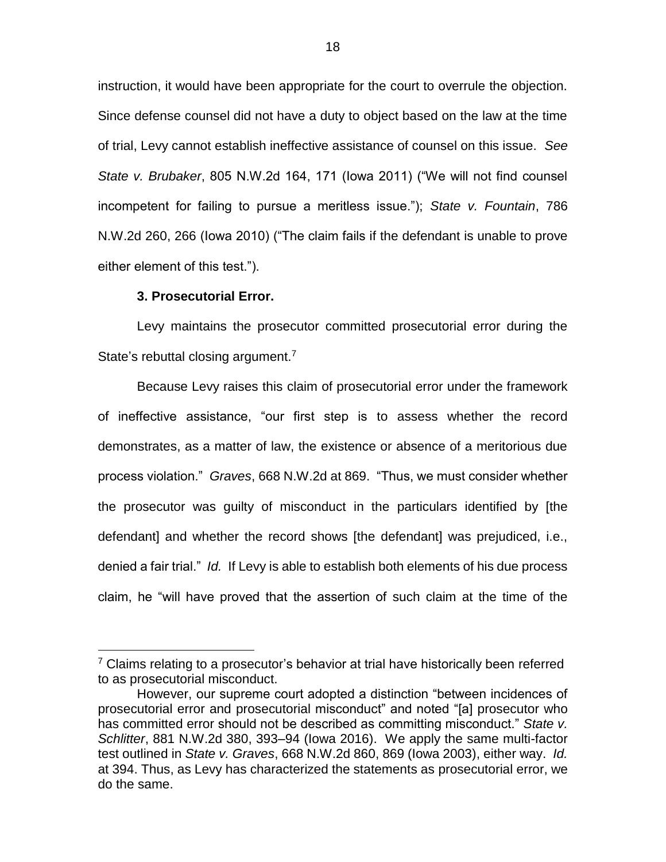instruction, it would have been appropriate for the court to overrule the objection. Since defense counsel did not have a duty to object based on the law at the time of trial, Levy cannot establish ineffective assistance of counsel on this issue. *See State v. Brubaker*, 805 N.W.2d 164, 171 (Iowa 2011) ("We will not find counsel incompetent for failing to pursue a meritless issue."); *State v. Fountain*, 786 N.W.2d 260, 266 (Iowa 2010) ("The claim fails if the defendant is unable to prove either element of this test.").

#### **3. Prosecutorial Error.**

 $\overline{a}$ 

Levy maintains the prosecutor committed prosecutorial error during the State's rebuttal closing argument.<sup>7</sup>

Because Levy raises this claim of prosecutorial error under the framework of ineffective assistance, "our first step is to assess whether the record demonstrates, as a matter of law, the existence or absence of a meritorious due process violation." *Graves*, 668 N.W.2d at 869. "Thus, we must consider whether the prosecutor was guilty of misconduct in the particulars identified by [the defendant] and whether the record shows [the defendant] was prejudiced, i.e., denied a fair trial." *Id.* If Levy is able to establish both elements of his due process claim, he "will have proved that the assertion of such claim at the time of the

 $7$  Claims relating to a prosecutor's behavior at trial have historically been referred to as prosecutorial misconduct.

However, our supreme court adopted a distinction "between incidences of prosecutorial error and prosecutorial misconduct" and noted "[a] prosecutor who has committed error should not be described as committing misconduct." *State v. Schlitter*, 881 N.W.2d 380, 393–94 (Iowa 2016). We apply the same multi-factor test outlined in *State v. Graves*, 668 N.W.2d 860, 869 (Iowa 2003), either way. *Id.* at 394. Thus, as Levy has characterized the statements as prosecutorial error, we do the same.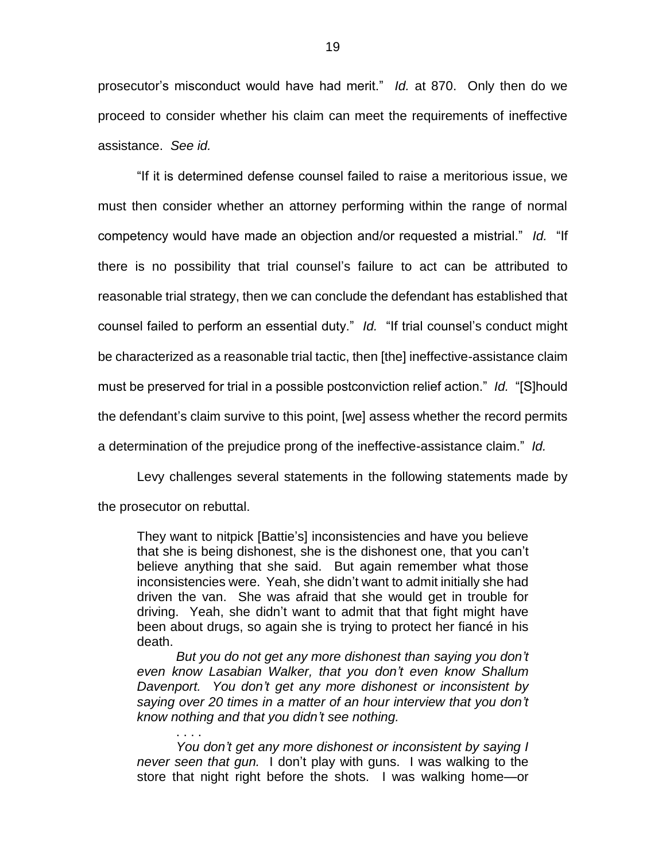prosecutor's misconduct would have had merit." *Id.* at 870. Only then do we proceed to consider whether his claim can meet the requirements of ineffective assistance. *See id.*

"If it is determined defense counsel failed to raise a meritorious issue, we must then consider whether an attorney performing within the range of normal competency would have made an objection and/or requested a mistrial." *Id.* "If there is no possibility that trial counsel's failure to act can be attributed to reasonable trial strategy, then we can conclude the defendant has established that counsel failed to perform an essential duty." *Id.* "If trial counsel's conduct might be characterized as a reasonable trial tactic, then [the] ineffective-assistance claim must be preserved for trial in a possible postconviction relief action." *Id.* "[S]hould the defendant's claim survive to this point, [we] assess whether the record permits a determination of the prejudice prong of the ineffective-assistance claim." *Id.*

Levy challenges several statements in the following statements made by the prosecutor on rebuttal.

They want to nitpick [Battie's] inconsistencies and have you believe that she is being dishonest, she is the dishonest one, that you can't believe anything that she said. But again remember what those inconsistencies were. Yeah, she didn't want to admit initially she had driven the van. She was afraid that she would get in trouble for driving. Yeah, she didn't want to admit that that fight might have been about drugs, so again she is trying to protect her fiancé in his death.

*But you do not get any more dishonest than saying you don't even know Lasabian Walker, that you don't even know Shallum Davenport. You don't get any more dishonest or inconsistent by saying over 20 times in a matter of an hour interview that you don't know nothing and that you didn't see nothing.*

*You don't get any more dishonest or inconsistent by saying I never seen that gun.* I don't play with guns. I was walking to the store that night right before the shots. I was walking home—or

. . . .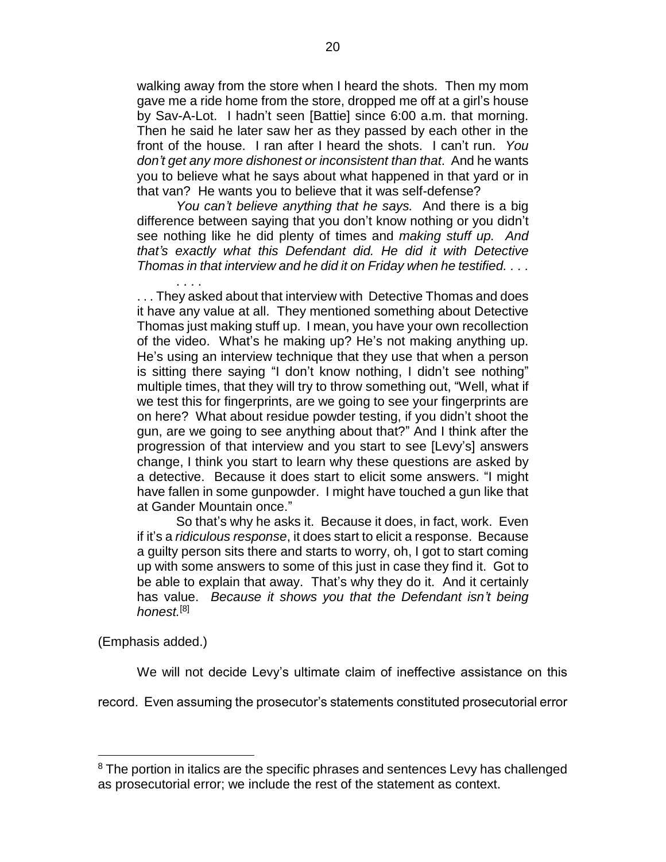walking away from the store when I heard the shots. Then my mom gave me a ride home from the store, dropped me off at a girl's house by Sav-A-Lot. I hadn't seen [Battie] since 6:00 a.m. that morning. Then he said he later saw her as they passed by each other in the front of the house. I ran after I heard the shots. I can't run. *You don't get any more dishonest or inconsistent than that*. And he wants you to believe what he says about what happened in that yard or in that van? He wants you to believe that it was self-defense?

*You can't believe anything that he says.* And there is a big difference between saying that you don't know nothing or you didn't see nothing like he did plenty of times and *making stuff up. And that's exactly what this Defendant did. He did it with Detective Thomas in that interview and he did it on Friday when he testified. . . .*

. . . . . . . They asked about that interview with Detective Thomas and does it have any value at all. They mentioned something about Detective Thomas just making stuff up. I mean, you have your own recollection of the video. What's he making up? He's not making anything up. He's using an interview technique that they use that when a person is sitting there saying "I don't know nothing, I didn't see nothing" multiple times, that they will try to throw something out, "Well, what if we test this for fingerprints, are we going to see your fingerprints are on here? What about residue powder testing, if you didn't shoot the gun, are we going to see anything about that?" And I think after the progression of that interview and you start to see [Levy's] answers change, I think you start to learn why these questions are asked by a detective. Because it does start to elicit some answers. "I might have fallen in some gunpowder. I might have touched a gun like that at Gander Mountain once."

So that's why he asks it. Because it does, in fact, work. Even if it's a *ridiculous response*, it does start to elicit a response. Because a guilty person sits there and starts to worry, oh, I got to start coming up with some answers to some of this just in case they find it. Got to be able to explain that away. That's why they do it. And it certainly has value. *Because it shows you that the Defendant isn't being honest.*[8]

(Emphasis added.)

 $\overline{a}$ 

We will not decide Levy's ultimate claim of ineffective assistance on this

record. Even assuming the prosecutor's statements constituted prosecutorial error

<sup>&</sup>lt;sup>8</sup> The portion in italics are the specific phrases and sentences Levy has challenged as prosecutorial error; we include the rest of the statement as context.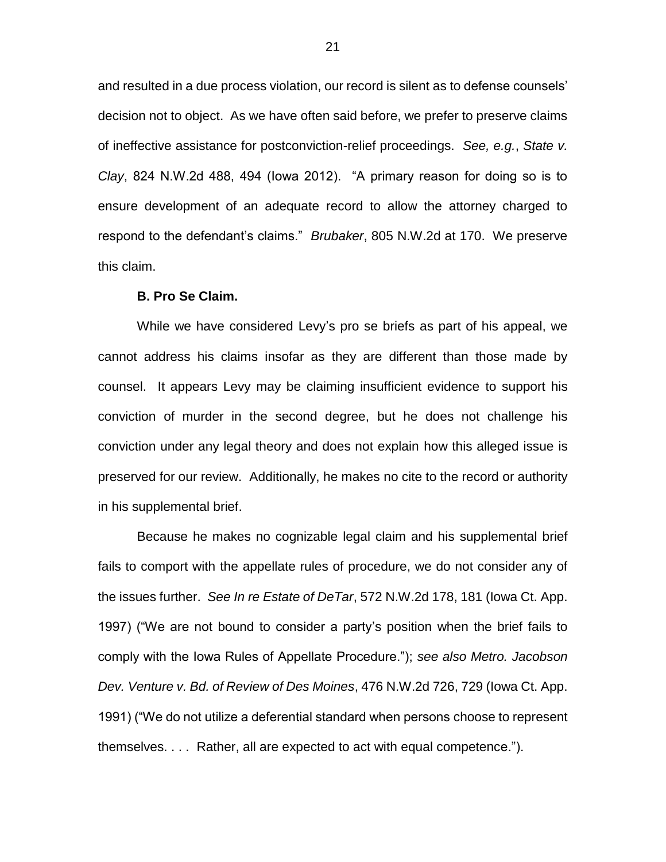and resulted in a due process violation, our record is silent as to defense counsels' decision not to object. As we have often said before, we prefer to preserve claims of ineffective assistance for postconviction-relief proceedings. *See, e.g.*, *State v. Clay*, 824 N.W.2d 488, 494 (Iowa 2012). "A primary reason for doing so is to ensure development of an adequate record to allow the attorney charged to respond to the defendant's claims." *Brubaker*, 805 N.W.2d at 170. We preserve this claim.

#### **B. Pro Se Claim.**

While we have considered Levy's pro se briefs as part of his appeal, we cannot address his claims insofar as they are different than those made by counsel. It appears Levy may be claiming insufficient evidence to support his conviction of murder in the second degree, but he does not challenge his conviction under any legal theory and does not explain how this alleged issue is preserved for our review. Additionally, he makes no cite to the record or authority in his supplemental brief.

Because he makes no cognizable legal claim and his supplemental brief fails to comport with the appellate rules of procedure, we do not consider any of the issues further. *See In re Estate of DeTar*, 572 N.W.2d 178, 181 (Iowa Ct. App. 1997) ("We are not bound to consider a party's position when the brief fails to comply with the Iowa Rules of Appellate Procedure."); *see also Metro. Jacobson Dev. Venture v. Bd. of Review of Des Moines*, 476 N.W.2d 726, 729 (Iowa Ct. App. 1991) ("We do not utilize a deferential standard when persons choose to represent themselves. . . . Rather, all are expected to act with equal competence.").